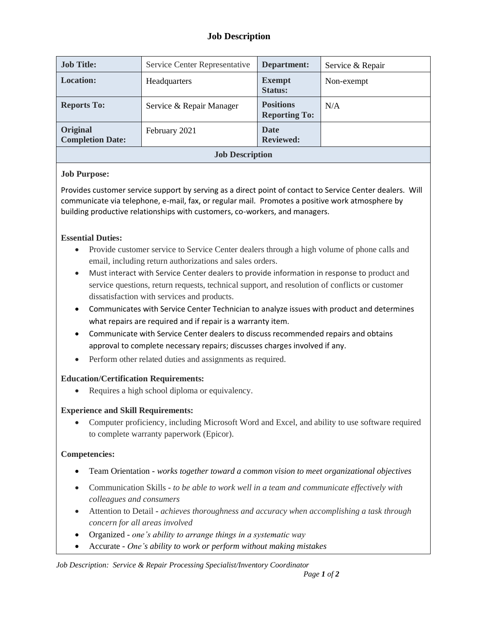# **Job Description**

| <b>Job Title:</b>                   | Service Center Representative | Department:                              | Service & Repair |  |
|-------------------------------------|-------------------------------|------------------------------------------|------------------|--|
| <b>Location:</b>                    | Headquarters                  | <b>Exempt</b><br><b>Status:</b>          | Non-exempt       |  |
| <b>Reports To:</b>                  | Service & Repair Manager      | <b>Positions</b><br><b>Reporting To:</b> | N/A              |  |
| Original<br><b>Completion Date:</b> | February 2021                 | <b>Date</b><br><b>Reviewed:</b>          |                  |  |
| <b>Job Description</b>              |                               |                                          |                  |  |

#### **Job Purpose:**

Provides customer service support by serving as a direct point of contact to Service Center dealers. Will communicate via telephone, e-mail, fax, or regular mail. Promotes a positive work atmosphere by building productive relationships with customers, co-workers, and managers.

### **Essential Duties:**

- Provide customer service to Service Center dealers through a high volume of phone calls and email, including return authorizations and sales orders.
- Must interact with Service Center dealers to provide information in response to product and service questions, return requests, technical support, and resolution of conflicts or customer dissatisfaction with services and products.
- Communicates with Service Center Technician to analyze issues with product and determines what repairs are required and if repair is a warranty item.
- Communicate with Service Center dealers to discuss recommended repairs and obtains approval to complete necessary repairs; discusses charges involved if any.
- Perform other related duties and assignments as required.

# **Education/Certification Requirements:**

Requires a high school diploma or equivalency.

# **Experience and Skill Requirements:**

• Computer proficiency, including Microsoft Word and Excel, and ability to use software required to complete warranty paperwork (Epicor).

# **Competencies:**

- Team Orientation *works together toward a common vision to meet organizational objectives*
- Communication Skills **-** *to be able to work well in a team and communicate effectively with colleagues and consumers*
- Attention to Detail **-** *achieves thoroughness and accuracy when accomplishing a task through concern for all areas involved*
- Organized *one's ability to arrange things in a systematic way*
- Accurate *One's ability to work or perform without making mistakes*

*Job Description: Service & Repair Processing Specialist/Inventory Coordinator*